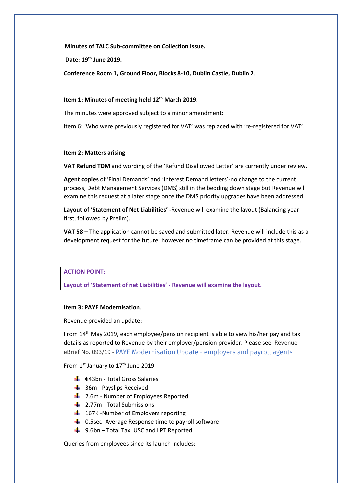**Minutes of TALC Sub-committee on Collection Issue.**

**Date: 19 th June 2019.**

**Conference Room 1, Ground Floor, Blocks 8-10, Dublin Castle, Dublin 2**.

## **Item 1: Minutes of meeting held 12th March 2019**.

The minutes were approved subject to a minor amendment:

Item 6: 'Who were previously registered for VAT' was replaced with 're-registered for VAT'.

### **Item 2: Matters arising**

**VAT Refund TDM** and wording of the 'Refund Disallowed Letter' are currently under review.

**Agent copies** of 'Final Demands' and 'Interest Demand letters'-no change to the current process, Debt Management Services (DMS) still in the bedding down stage but Revenue will examine this request at a later stage once the DMS priority upgrades have been addressed.

**Layout of 'Statement of Net Liabilities' -**Revenue will examine the layout (Balancing year first, followed by Prelim).

**VAT 58 –** The application cannot be saved and submitted later. Revenue will include this as a development request for the future, however no timeframe can be provided at this stage.

## **ACTION POINT:**

**Layout of 'Statement of net Liabilities' - Revenue will examine the layout.**

#### **Item 3: PAYE Modernisation**.

Revenue provided an update:

From 14th May 2019, each employee/pension recipient is able to view his/her pay and tax details as reported to Revenue by their employer/pension provider. Please see Revenue eBrief No. 093/19 - PAYE Modernisation Update - employers and payroll agents

From 1st January to 17<sup>th</sup> June 2019

- $\bigoplus$  €43bn Total Gross Salaries
- $\frac{1}{2}$  36m Payslips Received
- **↓** 2.6m Number of Employees Reported
- $\frac{1}{2}$  2.77m Total Submissions
- $\overline{\phantom{a}+}$  167K -Number of Employers reporting
- $\downarrow$  0.5sec -Average Response time to payroll software
- $\frac{1}{2}$  9.6bn Total Tax, USC and LPT Reported.

Queries from employees since its launch includes: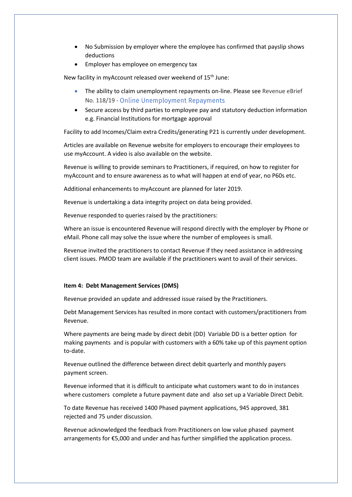- No Submission by employer where the employee has confirmed that payslip shows deductions
- Employer has employee on emergency tax

New facility in myAccount released over weekend of 15<sup>th</sup> June:

- The ability to claim unemployment repayments on-line. Please see Revenue eBrief No. 118/19 [-](https://www.revenue.ie/en/tax-professionals/ebrief/2019/no-1182019.aspx) Online Unemployment Repayments
- Secure access by third parties to employee pay and statutory deduction information e.g. Financial Institutions for mortgage approval

Facility to add Incomes/Claim extra Credits/generating P21 is currently under development.

Articles are available on Revenue website for employers to encourage their employees to use myAccount. A video is also available on the website.

Revenue is willing to provide seminars to Practitioners, if required, on how to register for myAccount and to ensure awareness as to what will happen at end of year, no P60s etc.

Additional enhancements to myAccount are planned for later 2019.

Revenue is undertaking a data integrity project on data being provided.

Revenue responded to queries raised by the practitioners:

Where an issue is encountered Revenue will respond directly with the employer by Phone or eMail. Phone call may solve the issue where the number of employees is small.

Revenue invited the practitioners to contact Revenue if they need assistance in addressing client issues. PMOD team are available if the practitioners want to avail of their services.

#### **Item 4: Debt Management Services (DMS)**

Revenue provided an update and addressed issue raised by the Practitioners.

Debt Management Services has resulted in more contact with customers/practitioners from Revenue.

Where payments are being made by direct debit (DD) Variable DD is a better option for making payments and is popular with customers with a 60% take up of this payment option to-date.

Revenue outlined the difference between direct debit quarterly and monthly payers payment screen.

Revenue informed that it is difficult to anticipate what customers want to do in instances where customers complete a future payment date and also set up a Variable Direct Debit.

To date Revenue has received 1400 Phased payment applications, 945 approved, 381 rejected and 75 under discussion.

Revenue acknowledged the feedback from Practitioners on low value phased payment arrangements for €5,000 and under and has further simplified the application process.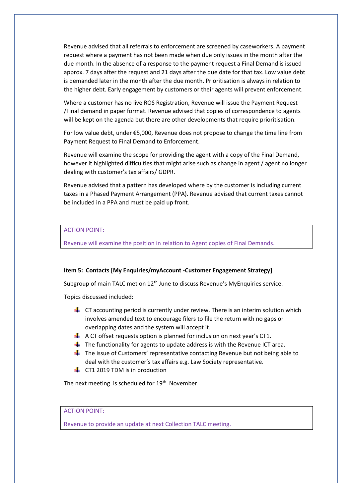Revenue advised that all referrals to enforcement are screened by caseworkers. A payment request where a payment has not been made when due only issues in the month after the due month. In the absence of a response to the payment request a Final Demand is issued approx. 7 days after the request and 21 days after the due date for that tax. Low value debt is demanded later in the month after the due month. Prioritisation is always in relation to the higher debt. Early engagement by customers or their agents will prevent enforcement.

Where a customer has no live ROS Registration, Revenue will issue the Payment Request /Final demand in paper format. Revenue advised that copies of correspondence to agents will be kept on the agenda but there are other developments that require prioritisation.

For low value debt, under €5,000, Revenue does not propose to change the time line from Payment Request to Final Demand to Enforcement.

Revenue will examine the scope for providing the agent with a copy of the Final Demand, however it highlighted difficulties that might arise such as change in agent / agent no longer dealing with customer's tax affairs/ GDPR.

Revenue advised that a pattern has developed where by the customer is including current taxes in a Phased Payment Arrangement (PPA). Revenue advised that current taxes cannot be included in a PPA and must be paid up front.

## ACTION POINT:

Revenue will examine the position in relation to Agent copies of Final Demands.

#### **Item 5: Contacts [My Enquiries/myAccount -Customer Engagement Strategy]**

Subgroup of main TALC met on 12<sup>th</sup> June to discuss Revenue's MyEnquiries service.

Topics discussed included:

- $\ddot{\phantom{1}}$  CT accounting period is currently under review. There is an interim solution which involves amended text to encourage filers to file the return with no gaps or overlapping dates and the system will accept it.
- $\downarrow$  A CT offset requests option is planned for inclusion on next year's CT1.
- $\ddot{+}$  The functionality for agents to update address is with the Revenue ICT area.
- $\ddot{\phantom{1}}$  The issue of Customers' representative contacting Revenue but not being able to deal with the customer's tax affairs e.g. Law Society representative.
- $\leftarrow$  CT1 2019 TDM is in production

The next meeting is scheduled for  $19<sup>th</sup>$  November.

ACTION POINT:

Revenue to provide an update at next Collection TALC meeting.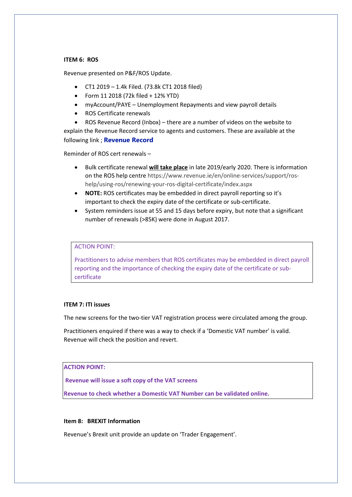#### **ITEM 6: ROS**

Revenue presented on P&F/ROS Update.

- CT1 2019 1.4k Filed. (73.8k CT1 2018 filed)
- Form 11 2018 (72k filed + 12% YTD)
- myAccount/PAYE Unemployment Repayments and view payroll details
- ROS Certificate renewals
- ROS Revenue Record (Inbox) there are a number of videos on the website to

explain the Revenue Record service to agents and customers. These are available at the following link ; **[Revenue Record](https://www.revenue.ie/en/online-services/support/help-guides/ros/revenue-record/index.aspx)**

Reminder of ROS cert renewals –

- Bulk certificate renewal **will take place** in late 2019/early 2020. There is information on the ROS help centr[e https://www.revenue.ie/en/online-services/support/ros](https://www.revenue.ie/en/online-services/support/ros-help/using-ros/renewing-your-ros-digital-certificate/index.aspx)[help/using-ros/renewing-your-ros-digital-certificate/index.aspx](https://www.revenue.ie/en/online-services/support/ros-help/using-ros/renewing-your-ros-digital-certificate/index.aspx)
- **NOTE:** ROS certificates may be embedded in direct payroll reporting so it's important to check the expiry date of the certificate or sub-certificate.
- System reminders issue at 55 and 15 days before expiry, but note that a significant number of renewals (>85K) were done in August 2017.

ACTION POINT:

Practitioners to advise members that ROS certificates may be embedded in direct payroll reporting and the importance of checking the expiry date of the certificate or subcertificate

#### **ITEM 7: ITI issues**

The new screens for the two-tier VAT registration process were circulated among the group.

Practitioners enquired if there was a way to check if a 'Domestic VAT number' is valid. Revenue will check the position and revert.

## **ACTION POINT:**

**Revenue will issue a soft copy of the VAT screens**

**Revenue to check whether a Domestic VAT Number can be validated online.**

#### **Item 8: BREXIT Information**

Revenue's Brexit unit provide an update on 'Trader Engagement'.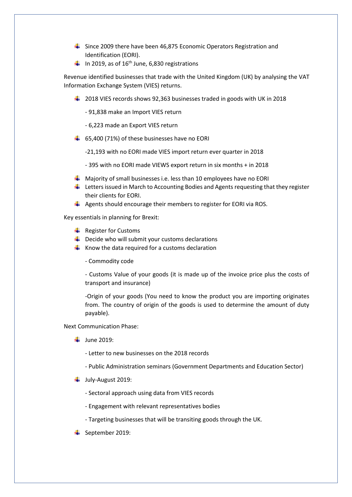- $\frac{1}{2}$  Since 2009 there have been 46,875 Economic Operators Registration and Identification (EORI).
- In 2019, as of  $16^{th}$  June, 6,830 registrations

Revenue identified businesses that trade with the United Kingdom (UK) by analysing the VAT Information Exchange System (VIES) returns.

- $\ddot{+}$  2018 VIES records shows 92,363 businesses traded in goods with UK in 2018
	- 91,838 make an Import VIES return
	- 6,223 made an Export VIES return
- $\div$  65,400 (71%) of these businesses have no EORI
	- -21,193 with no EORI made VIES import return ever quarter in 2018
	- 395 with no EORI made VIEWS export return in six months + in 2018
- $\downarrow$  Majority of small businesses i.e. less than 10 employees have no EORI
- $\downarrow$  Letters issued in March to Accounting Bodies and Agents requesting that they register their clients for EORI.
- Agents should encourage their members to register for EORI via ROS.

Key essentials in planning for Brexit:

- $\bigstar$  Register for Customs
- $\downarrow$  Decide who will submit your customs declarations
- $\downarrow$  Know the data required for a customs declaration
	- Commodity code

- Customs Value of your goods (it is made up of the invoice price plus the costs of transport and insurance)

-Origin of your goods (You need to know the product you are importing originates from. The country of origin of the goods is used to determine the amount of duty payable).

Next Communication Phase:

- $\downarrow$  June 2019:
	- Letter to new businesses on the 2018 records
	- Public Administration seminars (Government Departments and Education Sector)
- $\downarrow$  July-August 2019:
	- Sectoral approach using data from VIES records
	- Engagement with relevant representatives bodies
	- Targeting businesses that will be transiting goods through the UK.
- $\overline{\phantom{a}}$  September 2019: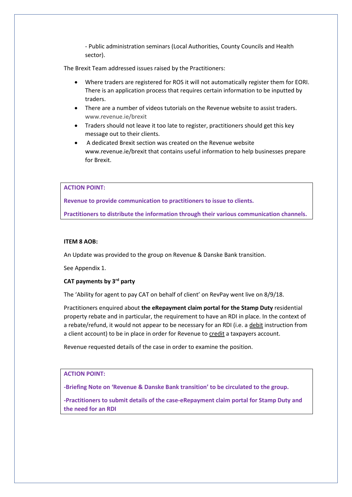- Public administration seminars (Local Authorities, County Councils and Health sector).

The Brexit Team addressed issues raised by the Practitioners:

- Where traders are registered for ROS it will not automatically register them for EORI. There is an application process that requires certain information to be inputted by traders.
- There are a number of videos tutorials on the Revenue website to assist traders. [www.revenue.ie/brexit](http://www.revenue.ie/brexit)
- Traders should not leave it too late to register, practitioners should get this key message out to their clients.
- A dedicated Brexit section was created on the Revenue website www.revenue.ie/brexit that contains useful information to help businesses prepare for Brexit.

## **ACTION POINT:**

**Revenue to provide communication to practitioners to issue to clients.**

**Practitioners to distribute the information through their various communication channels.**

#### **ITEM 8 AOB:**

An Update was provided to the group on Revenue & Danske Bank transition.

See Appendix 1.

# **CAT payments by 3rd party**

The 'Ability for agent to pay CAT on behalf of client' on RevPay went live on 8/9/18.

Practitioners enquired about **the eRepayment claim portal for the Stamp Duty** residential property rebate and in particular, the requirement to have an RDI in place. In the context of a rebate/refund, it would not appear to be necessary for an RDI (i.e. a debit instruction from a client account) to be in place in order for Revenue to credit a taxpayers account.

Revenue requested details of the case in order to examine the position.

## **ACTION POINT:**

**-Briefing Note on 'Revenue & Danske Bank transition' to be circulated to the group.**

**-Practitioners to submit details of the case-eRepayment claim portal for Stamp Duty and the need for an RDI**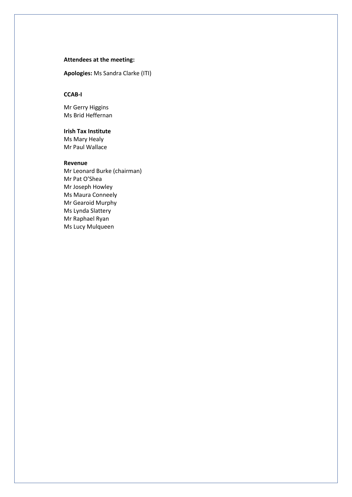### **Attendees at the meeting:**

**Apologies:** Ms Sandra Clarke (ITI)

## **CCAB-I**

Mr Gerry Higgins Ms Brid Heffernan

## **Irish Tax Institute**

Ms Mary Healy Mr Paul Wallace

### **Revenue**

Mr Leonard Burke (chairman) Mr Pat O'Shea Mr Joseph Howley Ms Maura Conneely Mr Gearoid Murphy Ms Lynda Slattery Mr Raphael Ryan Ms Lucy Mulqueen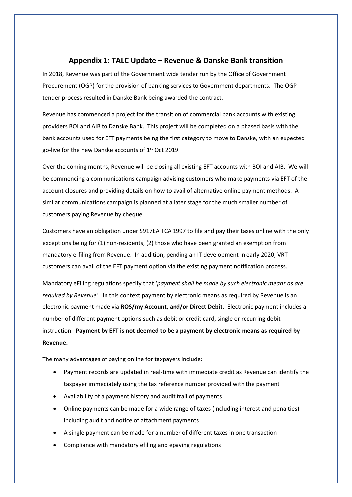# **Appendix 1: TALC Update – Revenue & Danske Bank transition**

In 2018, Revenue was part of the Government wide tender run by the Office of Government Procurement (OGP) for the provision of banking services to Government departments. The OGP tender process resulted in Danske Bank being awarded the contract.

Revenue has commenced a project for the transition of commercial bank accounts with existing providers BOI and AIB to Danske Bank. This project will be completed on a phased basis with the bank accounts used for EFT payments being the first category to move to Danske, with an expected go-live for the new Danske accounts of  $1<sup>st</sup>$  Oct 2019.

Over the coming months, Revenue will be closing all existing EFT accounts with BOI and AIB. We will be commencing a communications campaign advising customers who make payments via EFT of the account closures and providing details on how to avail of alternative online payment methods. A similar communications campaign is planned at a later stage for the much smaller number of customers paying Revenue by cheque.

Customers have an obligation under S917EA TCA 1997 to file and pay their taxes online with the only exceptions being for (1) non-residents, (2) those who have been granted an exemption from mandatory e-filing from Revenue. In addition, pending an IT development in early 2020, VRT customers can avail of the EFT payment option via the existing payment notification process.

Mandatory eFiling regulations specify that '*payment shall be made by such electronic means as are required by Revenue'*. In this context payment by electronic means as required by Revenue is an electronic payment made via **ROS/my Account, and/or Direct Debit.** Electronic payment includes a number of different payment options such as debit or credit card, single or recurring debit instruction. **Payment by EFT is not deemed to be a payment by electronic means as required by Revenue.** 

The many advantages of paying online for taxpayers include:

- Payment records are updated in real-time with immediate credit as Revenue can identify the taxpayer immediately using the tax reference number provided with the payment
- Availability of a payment history and audit trail of payments
- Online payments can be made for a wide range of taxes (including interest and penalties) including audit and notice of attachment payments
- A single payment can be made for a number of different taxes in one transaction
- Compliance with mandatory efiling and epaying regulations